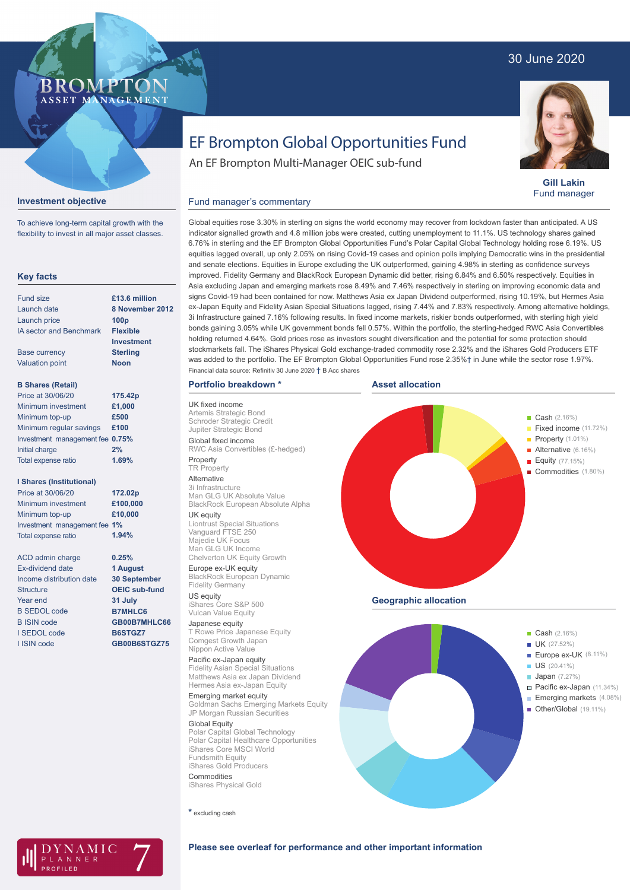# 30 June 2020

# BROMP" ASSET MANAGEMENT

## **Gill Lakin** Fund manager

### **Investment objective**

To achieve long-term capital growth with the flexibility to invest in all major asset classes.

## **Key facts**

| <b>Fund size</b>                | £13.6 million     |
|---------------------------------|-------------------|
| Launch date                     | 8 November 2012   |
| Launch price                    | 100 <sub>p</sub>  |
| <b>IA sector and Benchmark</b>  | <b>Flexible</b>   |
|                                 | <b>Investment</b> |
| <b>Base currency</b>            | <b>Sterling</b>   |
| <b>Valuation point</b>          | <b>Noon</b>       |
|                                 |                   |
| <b>B Shares (Retail)</b>        |                   |
| Price at 30/06/20               | 175.42p           |
| Minimum investment              | £1,000            |
| Minimum top-up                  | £500              |
| Minimum regular savings         | £100              |
| Investment management fee 0.75% |                   |
| <b>Initial charge</b>           | 2%                |
| <b>Total expense ratio</b>      | 1.69%             |

#### **I Shares (Institutional)**

| Price at 30/06/20            | 172.02p  |
|------------------------------|----------|
| Minimum investment           | £100,000 |
| Minimum top-up               | £10,000  |
| Investment management fee 1% |          |
| Total expense ratio          | 1.94%    |
|                              |          |
| ACD admin charge             | 0.25%    |

**1 August 30 September OEIC sub-fund 31 July B7MHLC6 GB00B7MHLC66 B6STGZ7 GB00B6STGZ75**

ACD admin charge Ex-dividend date Income distribution date **Structure** Year end B SEDOL code B ISIN code I SEDOL code I ISIN code

EF Brompton Global Opportunities Fund

An EF Brompton Multi-Manager OEIC sub-fund

# Fund manager's commentary

Global equities rose 3.30% in sterling on signs the world economy may recover from lockdown faster than anticipated. A US indicator signalled growth and 4.8 million jobs were created, cutting unemployment to 11.1%. US technology shares gained 6.76% in sterling and the EF Brompton Global Opportunities Fund's Polar Capital Global Technology holding rose 6.19%. US equities lagged overall, up only 2.05% on rising Covid-19 cases and opinion polls implying Democratic wins in the presidential and senate elections. Equities in Europe excluding the UK outperformed, gaining 4.98% in sterling as confidence surveys improved. Fidelity Germany and BlackRock European Dynamic did better, rising 6.84% and 6.50% respectively. Equities in Asia excluding Japan and emerging markets rose 8.49% and 7.46% respectively in sterling on improving economic data and signs Covid-19 had been contained for now. Matthews Asia ex Japan Dividend outperformed, rising 10.19%, but Hermes Asia ex-Japan Equity and Fidelity Asian Special Situations lagged, rising 7.44% and 7.83% respectively. Among alternative holdings, 3i Infrastructure gained 7.16% following results. In fixed income markets, riskier bonds outperformed, with sterling high yield bonds gaining 3.05% while UK government bonds fell 0.57%. Within the portfolio, the sterling-hedged RWC Asia Convertibles holding returned 4.64%. Gold prices rose as investors sought diversification and the potential for some protection should stockmarkets fall. The iShares Physical Gold exchange-traded commodity rose 2.32% and the iShares Gold Producers ETF was added to the portfolio. The EF Brompton Global Opportunities Fund rose 2.35%† in June while the sector rose 1.97%. Financial data source: Refinitiv 30 June 2020 † B Acc shares

# **Portfolio breakdown \***

UK fixed income Artemis Strategic Bond Schroder Strategic Credit Jupiter Strategic Bond Global fixed income RWC Asia Convertibles (£-hedged) Property TR Property

Alternative 3i Infrastructure Man GLG UK Absolute Value BlackRock European Absolute Alpha UK equity Liontrust Special Situations

Vanguard FTSE 250 Majedie UK Focus Man GLG UK Income Chelverton UK Equity Growth

Europe ex-UK equity BlackRock European Dynamic Fidelity Germany US equity

iShares Core S&P 500 Vulcan Value Equity

Japanese equity T Rowe Price Japanese Equity Comgest Growth Japan Nippon Active Value

Pacific ex-Japan equity Fidelity Asian Special Situations Matthews Asia ex Japan Dividend Hermes Asia ex-Japan Equity

Emerging market equity Goldman Sachs Emerging Markets Equity JP Morgan Russian Securities

Global Equity Polar Capital Global Technology Polar Capital Healthcare Opportunities iShares Core MSCI World Fundsmith Equity iShares Gold Producers **Commodities** 

iShares Physical Gold

**\*** excluding cash



**Cash** (2.16%) UK (27.52%) Europe ex-UK (8.11%) US (20.41%) **Japan** (7.27%) Pacific ex-Japan (11.34%) Emerging markets (4.08%) Марк Марк Марк Марк **III Other/Global** (19.11%) ł

AMIC ANNER

# **Please see overleaf for performance and other important information**